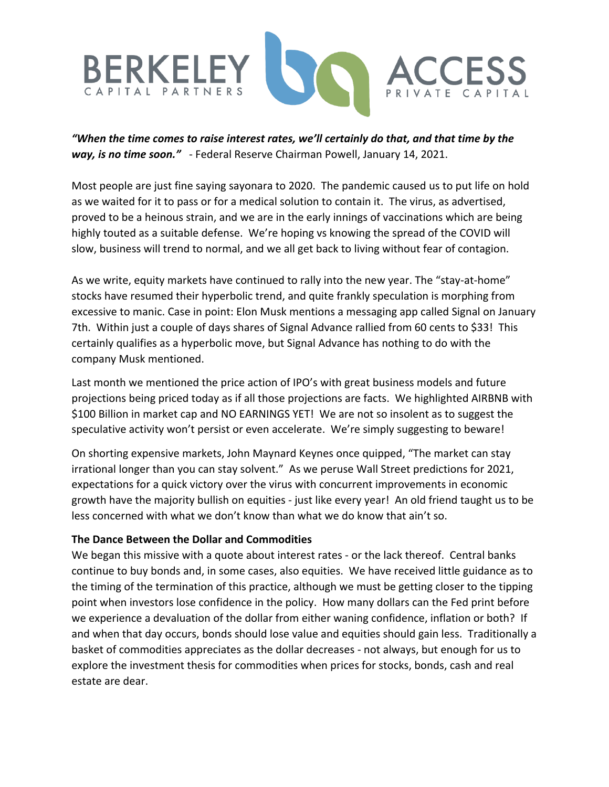

*"When the time comes to raise interest rates, we'll certainly do that, and that time by the way, is no time soon."* - Federal Reserve Chairman Powell, January 14, 2021.

Most people are just fine saying sayonara to 2020. The pandemic caused us to put life on hold as we waited for it to pass or for a medical solution to contain it. The virus, as advertised, proved to be a heinous strain, and we are in the early innings of vaccinations which are being highly touted as a suitable defense. We're hoping vs knowing the spread of the COVID will slow, business will trend to normal, and we all get back to living without fear of contagion.

As we write, equity markets have continued to rally into the new year. The "stay-at-home" stocks have resumed their hyperbolic trend, and quite frankly speculation is morphing from excessive to manic. Case in point: Elon Musk mentions a messaging app called Signal on January 7th. Within just a couple of days shares of Signal Advance rallied from 60 cents to \$33! This certainly qualifies as a hyperbolic move, but Signal Advance has nothing to do with the company Musk mentioned.

Last month we mentioned the price action of IPO's with great business models and future projections being priced today as if all those projections are facts. We highlighted AIRBNB with \$100 Billion in market cap and NO EARNINGS YET! We are not so insolent as to suggest the speculative activity won't persist or even accelerate. We're simply suggesting to beware!

On shorting expensive markets, John Maynard Keynes once quipped, "The market can stay irrational longer than you can stay solvent." As we peruse Wall Street predictions for 2021, expectations for a quick victory over the virus with concurrent improvements in economic growth have the majority bullish on equities - just like every year! An old friend taught us to be less concerned with what we don't know than what we do know that ain't so.

#### **The Dance Between the Dollar and Commodities**

We began this missive with a quote about interest rates - or the lack thereof. Central banks continue to buy bonds and, in some cases, also equities. We have received little guidance as to the timing of the termination of this practice, although we must be getting closer to the tipping point when investors lose confidence in the policy. How many dollars can the Fed print before we experience a devaluation of the dollar from either waning confidence, inflation or both? If and when that day occurs, bonds should lose value and equities should gain less. Traditionally a basket of commodities appreciates as the dollar decreases - not always, but enough for us to explore the investment thesis for commodities when prices for stocks, bonds, cash and real estate are dear.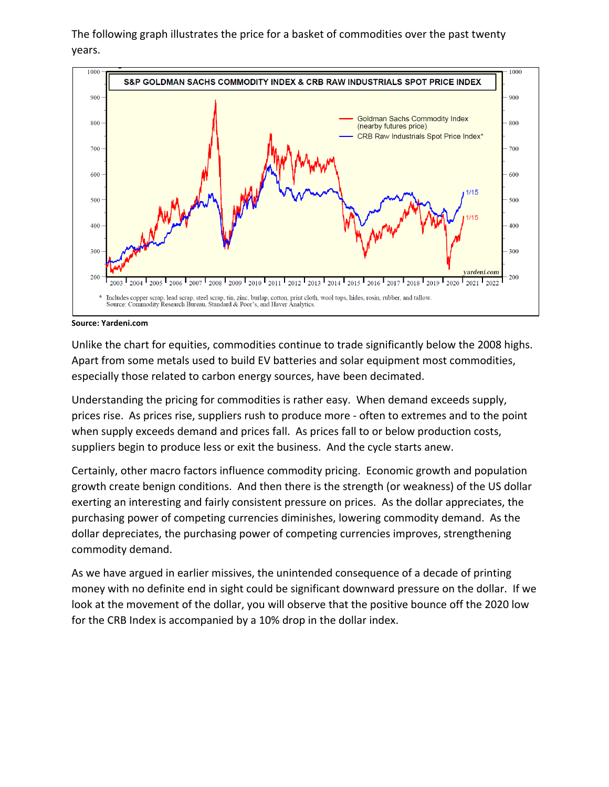The following graph illustrates the price for a basket of commodities over the past twenty years.



**Source: Yardeni.com**

Unlike the chart for equities, commodities continue to trade significantly below the 2008 highs. Apart from some metals used to build EV batteries and solar equipment most commodities, especially those related to carbon energy sources, have been decimated.

Understanding the pricing for commodities is rather easy. When demand exceeds supply, prices rise. As prices rise, suppliers rush to produce more - often to extremes and to the point when supply exceeds demand and prices fall. As prices fall to or below production costs, suppliers begin to produce less or exit the business. And the cycle starts anew.

Certainly, other macro factors influence commodity pricing. Economic growth and population growth create benign conditions. And then there is the strength (or weakness) of the US dollar exerting an interesting and fairly consistent pressure on prices. As the dollar appreciates, the purchasing power of competing currencies diminishes, lowering commodity demand. As the dollar depreciates, the purchasing power of competing currencies improves, strengthening commodity demand.

As we have argued in earlier missives, the unintended consequence of a decade of printing money with no definite end in sight could be significant downward pressure on the dollar. If we look at the movement of the dollar, you will observe that the positive bounce off the 2020 low for the CRB Index is accompanied by a 10% drop in the dollar index.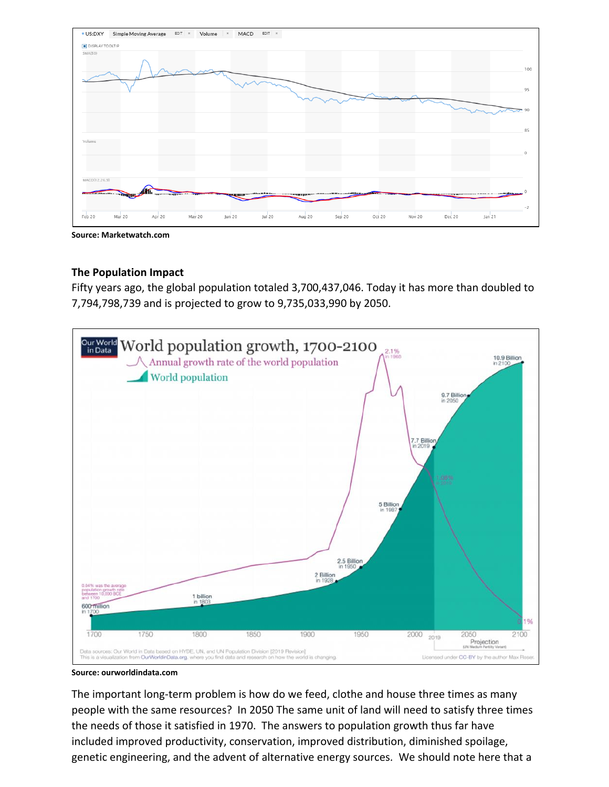

**Source: Marketwatch.com**

#### **The Population Impact**

Fifty years ago, the global population totaled 3,700,437,046. Today it has more than doubled to 7,794,798,739 and is projected to grow to 9,735,033,990 by 2050.



**Source: ourworldindata.com**

The important long-term problem is how do we feed, clothe and house three times as many people with the same resources? In 2050 The same unit of land will need to satisfy three times the needs of those it satisfied in 1970. The answers to population growth thus far have included improved productivity, conservation, improved distribution, diminished spoilage, genetic engineering, and the advent of alternative energy sources. We should note here that a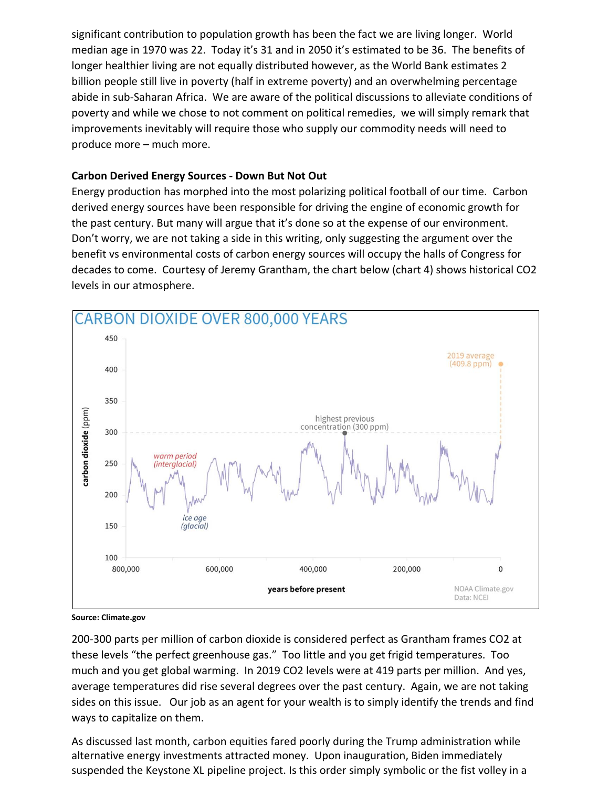significant contribution to population growth has been the fact we are living longer. World median age in 1970 was 22. Today it's 31 and in 2050 it's estimated to be 36. The benefits of longer healthier living are not equally distributed however, as the World Bank estimates 2 billion people still live in poverty (half in extreme poverty) and an overwhelming percentage abide in sub-Saharan Africa. We are aware of the political discussions to alleviate conditions of poverty and while we chose to not comment on political remedies, we will simply remark that improvements inevitably will require those who supply our commodity needs will need to produce more – much more.

## **Carbon Derived Energy Sources - Down But Not Out**

Energy production has morphed into the most polarizing political football of our time. Carbon derived energy sources have been responsible for driving the engine of economic growth for the past century. But many will argue that it's done so at the expense of our environment. Don't worry, we are not taking a side in this writing, only suggesting the argument over the benefit vs environmental costs of carbon energy sources will occupy the halls of Congress for decades to come. Courtesy of Jeremy Grantham, the chart below (chart 4) shows historical CO2 levels in our atmosphere.



**Source: Climate.gov**

200-300 parts per million of carbon dioxide is considered perfect as Grantham frames CO2 at these levels "the perfect greenhouse gas." Too little and you get frigid temperatures. Too much and you get global warming. In 2019 CO2 levels were at 419 parts per million. And yes, average temperatures did rise several degrees over the past century. Again, we are not taking sides on this issue. Our job as an agent for your wealth is to simply identify the trends and find ways to capitalize on them.

As discussed last month, carbon equities fared poorly during the Trump administration while alternative energy investments attracted money. Upon inauguration, Biden immediately suspended the Keystone XL pipeline project. Is this order simply symbolic or the fist volley in a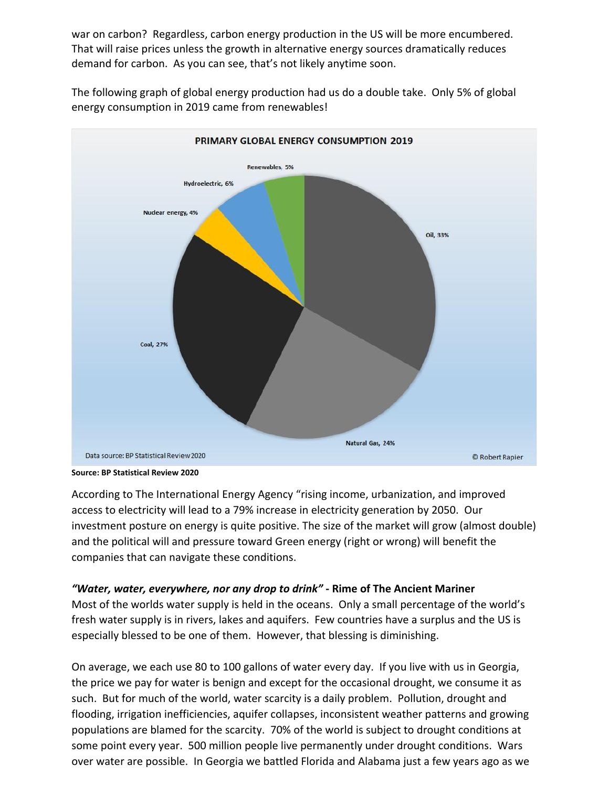war on carbon? Regardless, carbon energy production in the US will be more encumbered. That will raise prices unless the growth in alternative energy sources dramatically reduces demand for carbon. As you can see, that's not likely anytime soon.



The following graph of global energy production had us do a double take. Only 5% of global energy consumption in 2019 came from renewables!

According to The International Energy Agency "rising income, urbanization, and improved access to electricity will lead to a 79% increase in electricity generation by 2050. Our investment posture on energy is quite positive. The size of the market will grow (almost double) and the political will and pressure toward Green energy (right or wrong) will benefit the companies that can navigate these conditions.

# *"Water, water, everywhere, nor any drop to drink"* **- Rime of The Ancient Mariner**

Most of the worlds water supply is held in the oceans. Only a small percentage of the world's fresh water supply is in rivers, lakes and aquifers. Few countries have a surplus and the US is especially blessed to be one of them. However, that blessing is diminishing.

On average, we each use 80 to 100 gallons of water every day. If you live with us in Georgia, the price we pay for water is benign and except for the occasional drought, we consume it as such. But for much of the world, water scarcity is a daily problem. Pollution, drought and flooding, irrigation inefficiencies, aquifer collapses, inconsistent weather patterns and growing populations are blamed for the scarcity. 70% of the world is subject to drought conditions at some point every year. 500 million people live permanently under drought conditions. Wars over water are possible. In Georgia we battled Florida and Alabama just a few years ago as we

**Source: BP Statistical Review 2020**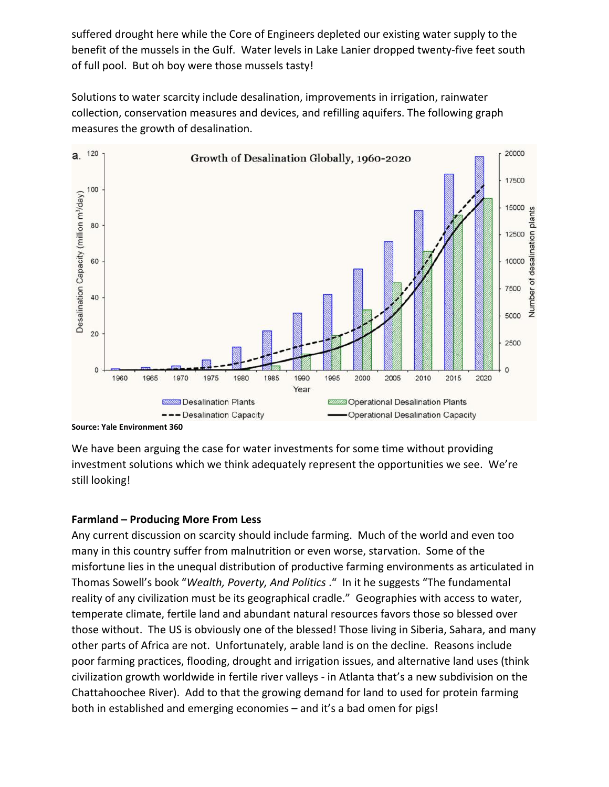suffered drought here while the Core of Engineers depleted our existing water supply to the benefit of the mussels in the Gulf. Water levels in Lake Lanier dropped twenty-five feet south of full pool. But oh boy were those mussels tasty!

Solutions to water scarcity include desalination, improvements in irrigation, rainwater collection, conservation measures and devices, and refilling aquifers. The following graph measures the growth of desalination.



**Source: Yale Environment 360**

We have been arguing the case for water investments for some time without providing investment solutions which we think adequately represent the opportunities we see. We're still looking!

# **Farmland – Producing More From Less**

Any current discussion on scarcity should include farming. Much of the world and even too many in this country suffer from malnutrition or even worse, starvation. Some of the misfortune lies in the unequal distribution of productive farming environments as articulated in Thomas Sowell's book "*Wealth, Poverty, And Politics* ." In it he suggests "The fundamental reality of any civilization must be its geographical cradle." Geographies with access to water, temperate climate, fertile land and abundant natural resources favors those so blessed over those without. The US is obviously one of the blessed! Those living in Siberia, Sahara, and many other parts of Africa are not. Unfortunately, arable land is on the decline. Reasons include poor farming practices, flooding, drought and irrigation issues, and alternative land uses (think civilization growth worldwide in fertile river valleys - in Atlanta that's a new subdivision on the Chattahoochee River). Add to that the growing demand for land to used for protein farming both in established and emerging economies – and it's a bad omen for pigs!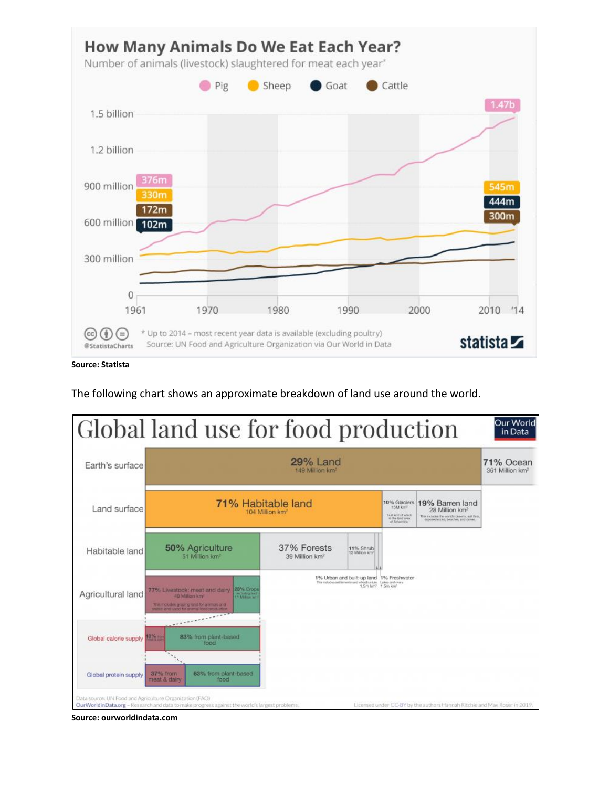

**Source: Statista**

The following chart shows an approximate breakdown of land use around the world.



**Source: ourworldindata.com**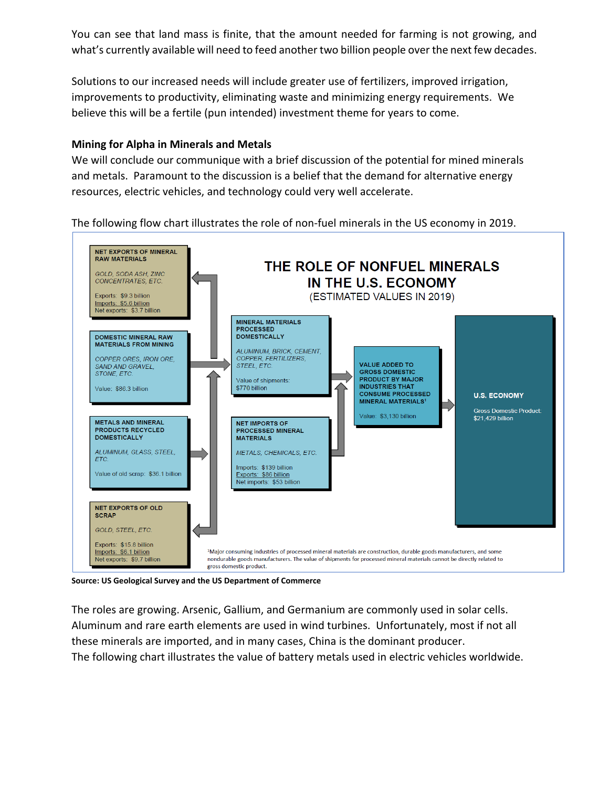You can see that land mass is finite, that the amount needed for farming is not growing, and what's currently available will need to feed another two billion people over the next few decades.

Solutions to our increased needs will include greater use of fertilizers, improved irrigation, improvements to productivity, eliminating waste and minimizing energy requirements. We believe this will be a fertile (pun intended) investment theme for years to come.

## **Mining for Alpha in Minerals and Metals**

We will conclude our communique with a brief discussion of the potential for mined minerals and metals. Paramount to the discussion is a belief that the demand for alternative energy resources, electric vehicles, and technology could very well accelerate.

The following flow chart illustrates the role of non-fuel minerals in the US economy in 2019.



**Source: US Geological Survey and the US Department of Commerce**

The roles are growing. Arsenic, Gallium, and Germanium are commonly used in solar cells. Aluminum and rare earth elements are used in wind turbines. Unfortunately, most if not all these minerals are imported, and in many cases, China is the dominant producer. The following chart illustrates the value of battery metals used in electric vehicles worldwide.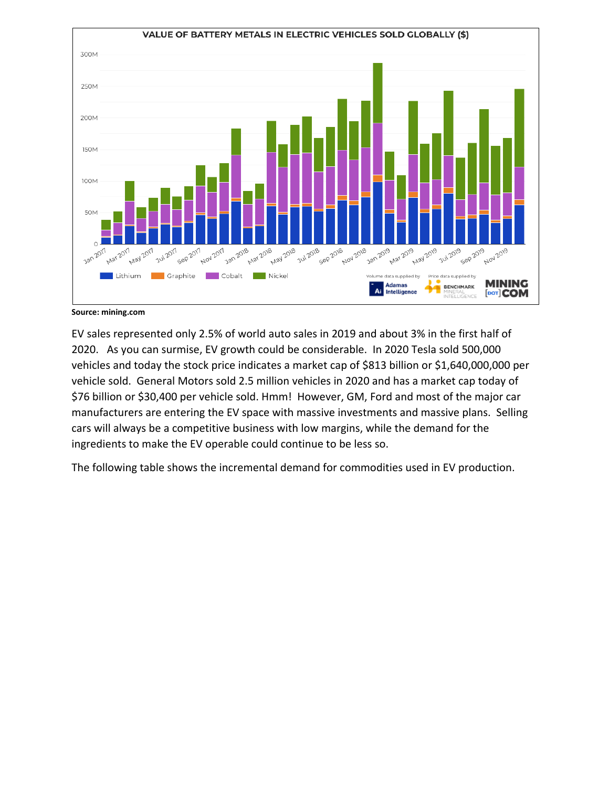

**Source: mining.com**

EV sales represented only 2.5% of world auto sales in 2019 and about 3% in the first half of 2020. As you can surmise, EV growth could be considerable. In 2020 Tesla sold 500,000 vehicles and today the stock price indicates a market cap of \$813 billion or \$1,640,000,000 per vehicle sold. General Motors sold 2.5 million vehicles in 2020 and has a market cap today of \$76 billion or \$30,400 per vehicle sold. Hmm! However, GM, Ford and most of the major car manufacturers are entering the EV space with massive investments and massive plans. Selling cars will always be a competitive business with low margins, while the demand for the ingredients to make the EV operable could continue to be less so.

The following table shows the incremental demand for commodities used in EV production.